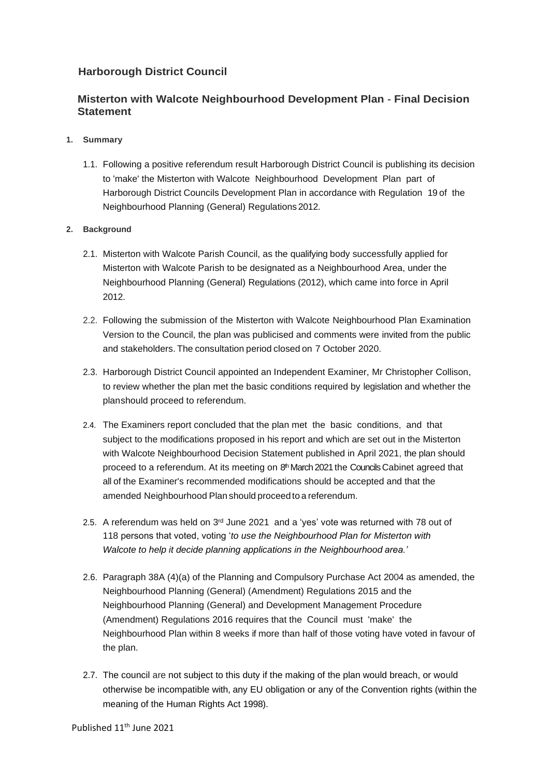## **Harborough District Council**

## **Misterton with Walcote Neighbourhood Development Plan - Final Decision Statement**

- **1. Summary**
	- 1.1. Following a positive referendum result Harborough District Council is publishing its decision to 'make' the Misterton with Walcote Neighbourhood Development Plan part of Harborough District Councils Development Plan in accordance with Regulation 19 of the Neighbourhood Planning (General) Regulations 2012.
- **2. Background**
	- 2.1. Misterton with Walcote Parish Council, as the qualifying body successfully applied for Misterton with Walcote Parish to be designated as a Neighbourhood Area, under the Neighbourhood Planning (General) Regulations (2012), which came into force in April 2012.
	- 2.2. Following the submission of the Misterton with Walcote Neighbourhood Plan Examination Version to the Council, the plan was publicised and comments were invited from the public and stakeholders. The consultation period closed on 7 October 2020.
	- 2.3. Harborough District Council appointed an Independent Examiner, Mr Christopher Collison, to review whether the plan met the basic conditions required by legislation and whether the planshould proceed to referendum.
	- 2.4. The Examiners report concluded that the plan met the basic conditions, and that subject to the modifications proposed in his report and which are set out in the Misterton with Walcote Neighbourhood Decision Statement published in April 2021, the plan should proceed to a referendum. At its meeting on 8<sup>th</sup> March 2021 the Councils Cabinet agreed that all of the Examiner's recommended modifications should be accepted and that the amended Neighbourhood Plan should proceedto a referendum.
	- 2.5. A referendum was held on  $3<sup>rd</sup>$  June 2021 and a 'yes' vote was returned with 78 out of 118 persons that voted, voting '*to use the Neighbourhood Plan for Misterton with Walcote to help it decide planning applications in the Neighbourhood area.'*
	- 2.6. Paragraph 38A (4)(a) of the Planning and Compulsory Purchase Act 2004 as amended, the Neighbourhood Planning (General) (Amendment) Regulations 2015 and the Neighbourhood Planning (General) and Development Management Procedure (Amendment) Regulations 2016 requires that the Council must 'make' the Neighbourhood Plan within 8 weeks if more than half of those voting have voted in favour of the plan.
	- 2.7. The council are not subject to this duty if the making of the plan would breach, or would otherwise be incompatible with, any EU obligation or any of the Convention rights (within the meaning of the Human Rights Act 1998).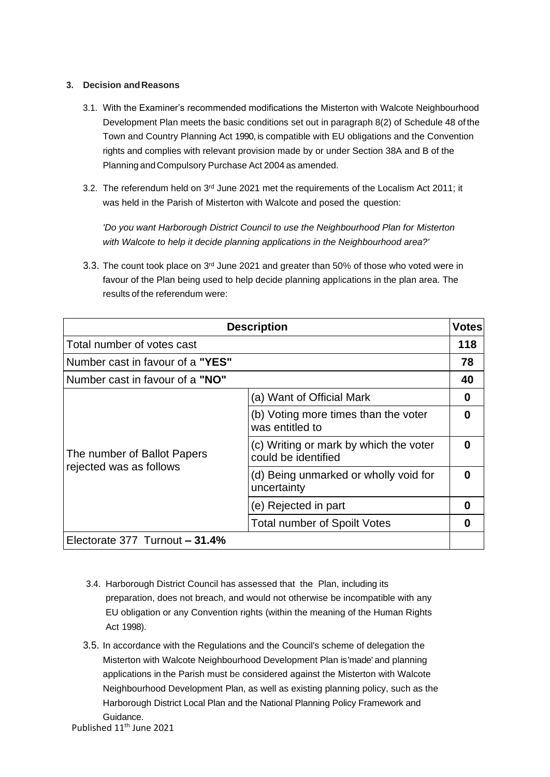## **3. Decision andReasons**

- 3.1. With the Examiner's recommended modifications the Misterton with Walcote Neighbourhood Development Plan meets the basic conditions set out in paragraph 8(2) of Schedule 48 of the Town and Country Planning Act 1990, is compatible with EU obligations and the Convention rights and complies with relevant provision made by or under Section 38A and B of the Planning andCompulsory Purchase Act 2004 as amended.
- 3.2. The referendum held on 3<sup>rd</sup> June 2021 met the requirements of the Localism Act 2011; it was held in the Parish of Misterton with Walcote and posed the question:

*'Do you want Harborough District Council to use the Neighbourhood Plan for Misterton with Walcote to help it decide planning applications in the Neighbourhood area?'*

3.3. The count took place on  $3<sup>rd</sup>$  June 2021 and greater than 50% of those who voted were in favour of the Plan being used to help decide planning applications in the plan area. The results of the referendum were:

| <b>Description</b>                                     |                                                               | <b>Votes</b> |
|--------------------------------------------------------|---------------------------------------------------------------|--------------|
| Total number of votes cast                             |                                                               | 118          |
| Number cast in favour of a "YES"                       |                                                               | 78           |
| Number cast in favour of a "NO"                        |                                                               | 40           |
| The number of Ballot Papers<br>rejected was as follows | (a) Want of Official Mark                                     | 0            |
|                                                        | (b) Voting more times than the voter<br>was entitled to       | 0            |
|                                                        | (c) Writing or mark by which the voter<br>could be identified | O            |
|                                                        | (d) Being unmarked or wholly void for<br>uncertainty          | O            |
|                                                        | (e) Rejected in part                                          | 0            |
|                                                        | <b>Total number of Spoilt Votes</b>                           | 0            |
| Electorate 377 Turnout - 31.4%                         |                                                               |              |

- 3.4. Harborough District Council has assessed that the Plan, including its preparation, does not breach, and would not otherwise be incompatible with any EU obligation or any Convention rights (within the meaning of the Human Rights Act 1998).
- 3.5. In accordance with the Regulations and the Council's scheme of delegation the Misterton with Walcote Neighbourhood Development Plan is'made' and planning applications in the Parish must be considered against the Misterton with Walcote Neighbourhood Development Plan, as well as existing planning policy, such as the Harborough District Local Plan and the National Planning Policy Framework and Guidance.